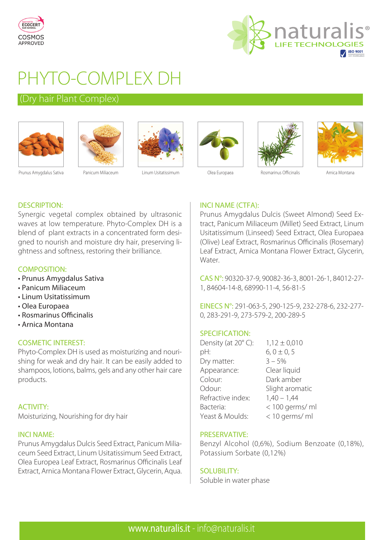



# PHYTO-COMPLEX DH

## (Dry hair Plant Complex)











Prunus Amygdalus Sativa Panicum Miliaceum Linum Usitatissimum Olea Europaea Rosmarinus Officinalis Arnica Montana

## INCI NAME (CTFA):

Prunus Amygdalus Dulcis (Sweet Almond) Seed Extract, Panicum Miliaceum (Millet) Seed Extract, Linum Usitatissimum (Linseed) Seed Extract, Olea Europaea (Olive) Leaf Extract, Rosmarinus Officinalis (Rosemary) Leaf Extract, Arnica Montana Flower Extract, Glycerin, Water.

CAS N°: 90320-37-9, 90082-36-3, 8001-26-1, 84012-27- 1, 84604-14-8, 68990-11-4, 56-81-5

EINECS N°: 291-063-5, 290-125-9, 232-278-6, 232-277- 0, 283-291-9, 273-579-2, 200-289-5

#### SPECIFICATION:

| Density (at 20°C): | $1,12 \pm 0,010$ |
|--------------------|------------------|
| pH:                | $6, 0 \pm 0, 5$  |
| Dry matter:        | $3 - 5%$         |
| Appearance:        | Clear liquid     |
| Colour:            | Dark amber       |
| Odour:             | Slight aromatic  |
| Refractive index:  | $1,40 - 1,44$    |
| Bacteria:          | < 100 germs/ ml  |
| Yeast & Moulds:    | < 10 germs/ ml   |

#### PRESERVATIVE:

Benzyl Alcohol (0,6%), Sodium Benzoate (0,18%), Potassium Sorbate (0,12%)

## SOLUBILITY:

Soluble in water phase

## DESCRIPTION:

Synergic vegetal complex obtained by ultrasonic waves at low temperature. Phyto-Complex DH is a blend of plant extracts in a concentrated form designed to nourish and moisture dry hair, preserving lightness and softness, restoring their brilliance.

#### COMPOSITION:

- Prunus Amygdalus Sativa
- Panicum Miliaceum
- Linum Usitatissimum
- Olea Europaea
- Rosmarinus Officinalis
- Arnica Montana

## COSMETIC INTEREST:

Phyto-Complex DH is used as moisturizing and nourishing for weak and dry hair. It can be easily added to shampoos, lotions, balms, gels and any other hair care products.

## ACTIVITY:

Moisturizing, Nourishing for dry hair

#### INCI NAME:

Prunus Amygdalus Dulcis Seed Extract, Panicum Miliaceum Seed Extract, Linum Usitatissimum Seed Extract, Olea Europea Leaf Extract, Rosmarinus Officinalis Leaf Extract, Arnica Montana Flower Extract, Glycerin, Aqua.